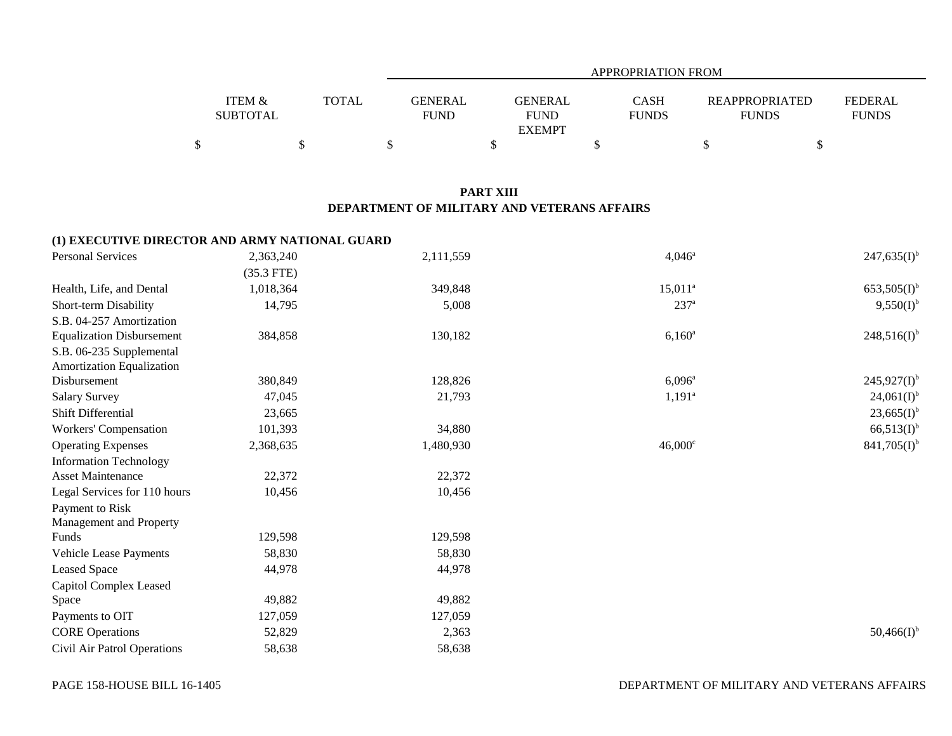|                 |       | APPROPRIATION FROM |                |              |                       |                |  |  |  |
|-----------------|-------|--------------------|----------------|--------------|-----------------------|----------------|--|--|--|
|                 |       |                    |                |              |                       |                |  |  |  |
| ITEM &          | TOTAL | <b>GENERAL</b>     | <b>GENERAL</b> | <b>CASH</b>  | <b>REAPPROPRIATED</b> | <b>FEDERAL</b> |  |  |  |
| <b>SUBTOTAL</b> |       | <b>FUND</b>        | <b>FUND</b>    | <b>FUNDS</b> | <b>FUNDS</b>          | <b>FUNDS</b>   |  |  |  |
|                 |       |                    | <b>EXEMPT</b>  |              |                       |                |  |  |  |
|                 |       |                    |                |              |                       |                |  |  |  |

## **PART XIII DEPARTMENT OF MILITARY AND VETERANS AFFAIRS**

## **(1) EXECUTIVE DIRECTOR AND ARMY NATIONAL GUARD**

| <b>Personal Services</b>         | 2,363,240    | 2,111,559 | $4,046^a$        | $247,635(I)^{b}$ |
|----------------------------------|--------------|-----------|------------------|------------------|
|                                  | $(35.3$ FTE) |           |                  |                  |
| Health, Life, and Dental         | 1,018,364    | 349,848   | $15,011^a$       | $653,505(I)^{b}$ |
| Short-term Disability            | 14,795       | 5,008     | 237 <sup>a</sup> | $9,550(I)^{b}$   |
| S.B. 04-257 Amortization         |              |           |                  |                  |
| <b>Equalization Disbursement</b> | 384,858      | 130,182   | $6,160^{\rm a}$  | $248,516(I)^{b}$ |
| S.B. 06-235 Supplemental         |              |           |                  |                  |
| Amortization Equalization        |              |           |                  |                  |
| Disbursement                     | 380,849      | 128,826   | $6,096^{\circ}$  | $245,927(I)^{b}$ |
| <b>Salary Survey</b>             | 47,045       | 21,793    | $1,191^a$        | $24,061(I)^{b}$  |
| Shift Differential               | 23,665       |           |                  | $23,665(I)^{b}$  |
| Workers' Compensation            | 101,393      | 34,880    |                  | $66,513(I)^{b}$  |
| <b>Operating Expenses</b>        | 2,368,635    | 1,480,930 | $46,000^{\circ}$ | $841,705(I)^{b}$ |
| <b>Information Technology</b>    |              |           |                  |                  |
| <b>Asset Maintenance</b>         | 22,372       | 22,372    |                  |                  |
| Legal Services for 110 hours     | 10,456       | 10,456    |                  |                  |
| Payment to Risk                  |              |           |                  |                  |
| Management and Property          |              |           |                  |                  |
| Funds                            | 129,598      | 129,598   |                  |                  |
| Vehicle Lease Payments           | 58,830       | 58,830    |                  |                  |
| Leased Space                     | 44,978       | 44,978    |                  |                  |
| Capitol Complex Leased           |              |           |                  |                  |
| Space                            | 49,882       | 49,882    |                  |                  |
| Payments to OIT                  | 127,059      | 127,059   |                  |                  |
| <b>CORE Operations</b>           | 52,829       | 2,363     |                  | $50,466(I)^{b}$  |
| Civil Air Patrol Operations      | 58,638       | 58,638    |                  |                  |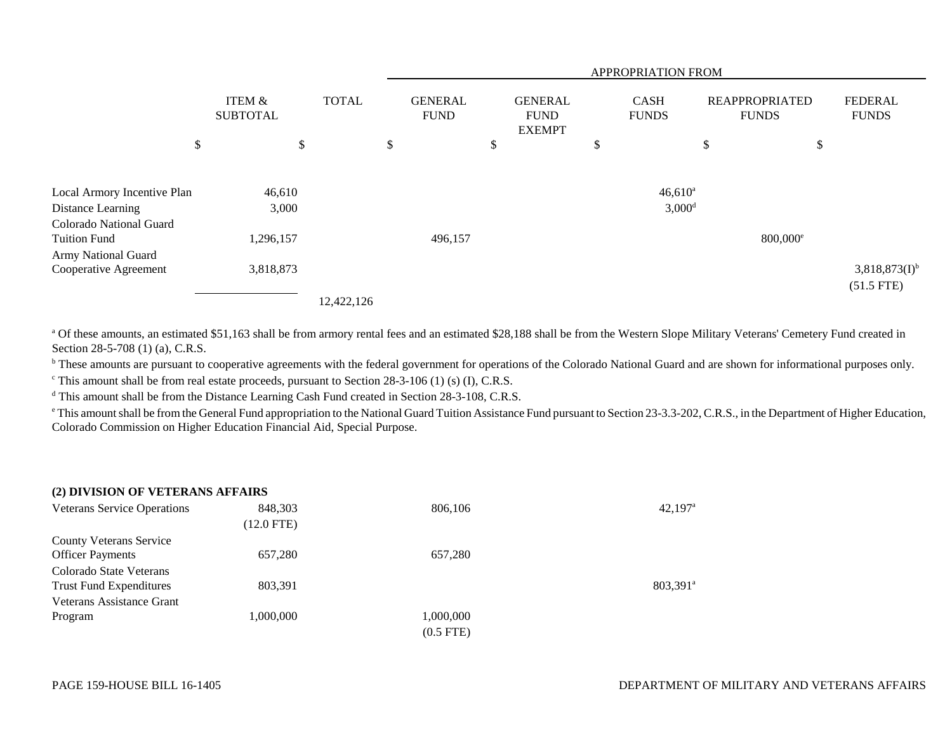|                                              |                           |              | APPROPRIATION FROM            |    |                                                |    |                             |                                       |                                    |
|----------------------------------------------|---------------------------|--------------|-------------------------------|----|------------------------------------------------|----|-----------------------------|---------------------------------------|------------------------------------|
|                                              | ITEM &<br><b>SUBTOTAL</b> | <b>TOTAL</b> | <b>GENERAL</b><br><b>FUND</b> |    | <b>GENERAL</b><br><b>FUND</b><br><b>EXEMPT</b> |    | <b>CASH</b><br><b>FUNDS</b> | <b>REAPPROPRIATED</b><br><b>FUNDS</b> | <b>FEDERAL</b><br><b>FUNDS</b>     |
| \$                                           | \$                        |              | \$                            | \$ |                                                | \$ |                             | \$                                    | \$                                 |
| Local Armory Incentive Plan                  | 46,610                    |              |                               |    |                                                |    | $46,610^a$                  |                                       |                                    |
| Distance Learning<br>Colorado National Guard | 3,000                     |              |                               |    |                                                |    | $3,000^d$                   |                                       |                                    |
| <b>Tuition Fund</b><br>Army National Guard   | 1,296,157                 |              | 496,157                       |    |                                                |    |                             | $800,000$ <sup>e</sup>                |                                    |
| Cooperative Agreement                        | 3,818,873                 |              |                               |    |                                                |    |                             |                                       | $3,818,873(I)^{b}$<br>$(51.5$ FTE) |
|                                              |                           | 12,422,126   |                               |    |                                                |    |                             |                                       |                                    |

<sup>a</sup> Of these amounts, an estimated \$51,163 shall be from armory rental fees and an estimated \$28,188 shall be from the Western Slope Military Veterans' Cemetery Fund created in Section 28-5-708 (1) (a), C.R.S.

<sup>b</sup> These amounts are pursuant to cooperative agreements with the federal government for operations of the Colorado National Guard and are shown for informational purposes only.

 $\textdegree$  This amount shall be from real estate proceeds, pursuant to Section 28-3-106 (1) (s) (I), C.R.S.

<sup>d</sup> This amount shall be from the Distance Learning Cash Fund created in Section 28-3-108, C.R.S.

<sup>e</sup> This amount shall be from the General Fund appropriation to the National Guard Tuition Assistance Fund pursuant to Section 23-3.3-202, C.R.S., in the Department of Higher Education, Colorado Commission on Higher Education Financial Aid, Special Purpose.

| (2) DIVISION OF VETERANS AFFAIRS |  |
|----------------------------------|--|
|----------------------------------|--|

| <b>Veterans Service Operations</b> | 848,303      | 806,106     | $42,197$ <sup>a</sup>  |
|------------------------------------|--------------|-------------|------------------------|
|                                    | $(12.0$ FTE) |             |                        |
| <b>County Veterans Service</b>     |              |             |                        |
| <b>Officer Payments</b>            | 657,280      | 657,280     |                        |
| Colorado State Veterans            |              |             |                        |
| <b>Trust Fund Expenditures</b>     | 803,391      |             | $803,391$ <sup>a</sup> |
| Veterans Assistance Grant          |              |             |                        |
| Program                            | 1,000,000    | 1,000,000   |                        |
|                                    |              | $(0.5$ FTE) |                        |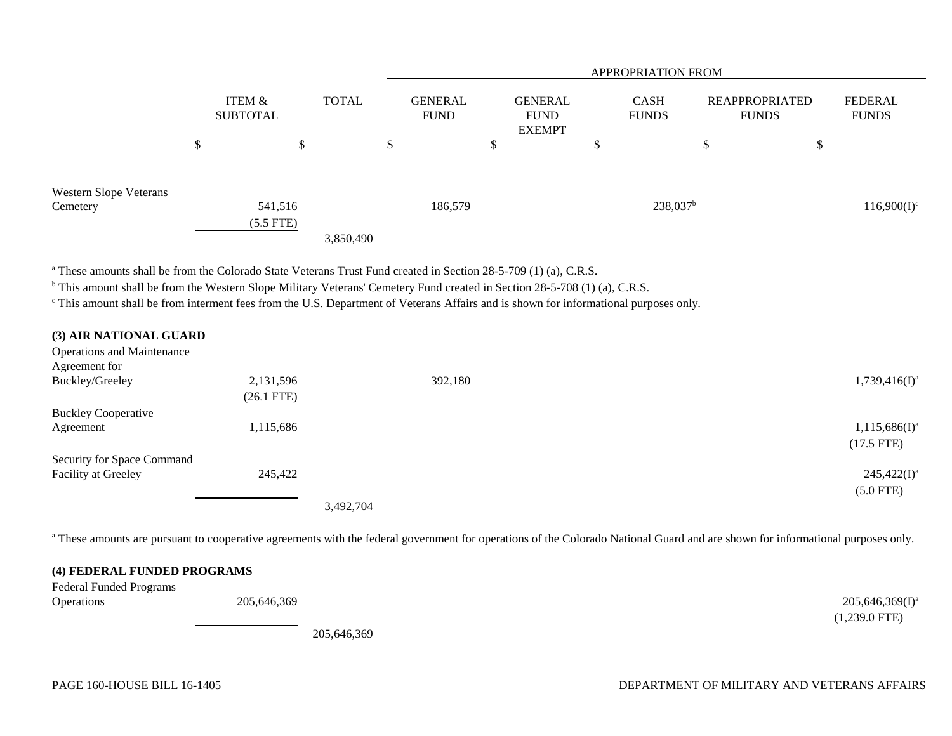|                                           |                           |             |              | <b>APPROPRIATION FROM</b> |         |                                                |    |                             |                                       |                         |
|-------------------------------------------|---------------------------|-------------|--------------|---------------------------|---------|------------------------------------------------|----|-----------------------------|---------------------------------------|-------------------------|
|                                           | ITEM &<br><b>SUBTOTAL</b> |             | <b>TOTAL</b> | GENERAL<br><b>FUND</b>    |         | <b>GENERAL</b><br><b>FUND</b><br><b>EXEMPT</b> |    | <b>CASH</b><br><b>FUNDS</b> | <b>REAPPROPRIATED</b><br><b>FUNDS</b> | FEDERAL<br><b>FUNDS</b> |
|                                           | $\sigma$<br>Ф             |             | Φ<br>Ф       | \$                        |         | \$                                             | \$ |                             | ⊄<br>D                                | \$                      |
| <b>Western Slope Veterans</b><br>Cemetery |                           | 541,516     |              |                           | 186,579 |                                                |    | 238,037 <sup>b</sup>        |                                       | $116,900(I)^c$          |
|                                           |                           | $(5.5$ FTE) | 3,850,490    |                           |         |                                                |    |                             |                                       |                         |

<sup>a</sup> These amounts shall be from the Colorado State Veterans Trust Fund created in Section 28-5-709 (1) (a), C.R.S.

<sup>b</sup> This amount shall be from the Western Slope Military Veterans' Cemetery Fund created in Section 28-5-708 (1) (a), C.R.S.

c This amount shall be from interment fees from the U.S. Department of Veterans Affairs and is shown for informational purposes only.

| (3) AIR NATIONAL GUARD            |              |           |         |                  |
|-----------------------------------|--------------|-----------|---------|------------------|
| <b>Operations and Maintenance</b> |              |           |         |                  |
| Agreement for                     |              |           |         |                  |
| Buckley/Greeley                   | 2,131,596    |           | 392,180 | $1,739,416(I)^a$ |
|                                   | $(26.1$ FTE) |           |         |                  |
| <b>Buckley Cooperative</b>        |              |           |         |                  |
| Agreement                         | 1,115,686    |           |         | $1,115,686(I)^a$ |
|                                   |              |           |         | $(17.5$ FTE)     |
| Security for Space Command        |              |           |         |                  |
| <b>Facility at Greeley</b>        | 245,422      |           |         | $245,422(I)^a$   |
|                                   |              |           |         | $(5.0$ FTE)      |
|                                   |              | 3,492,704 |         |                  |

<sup>a</sup> These amounts are pursuant to cooperative agreements with the federal government for operations of the Colorado National Guard and are shown for informational purposes only.

## **(4) FEDERAL FUNDED PROGRAMS**

| Federal Funded Programs |             |                    |
|-------------------------|-------------|--------------------|
| <b>Operations</b>       | 205,646,369 | $205,646,369(I)^a$ |
|                         |             | $(1,239.0$ FTE)    |
|                         | ---------   |                    |

205,646,369